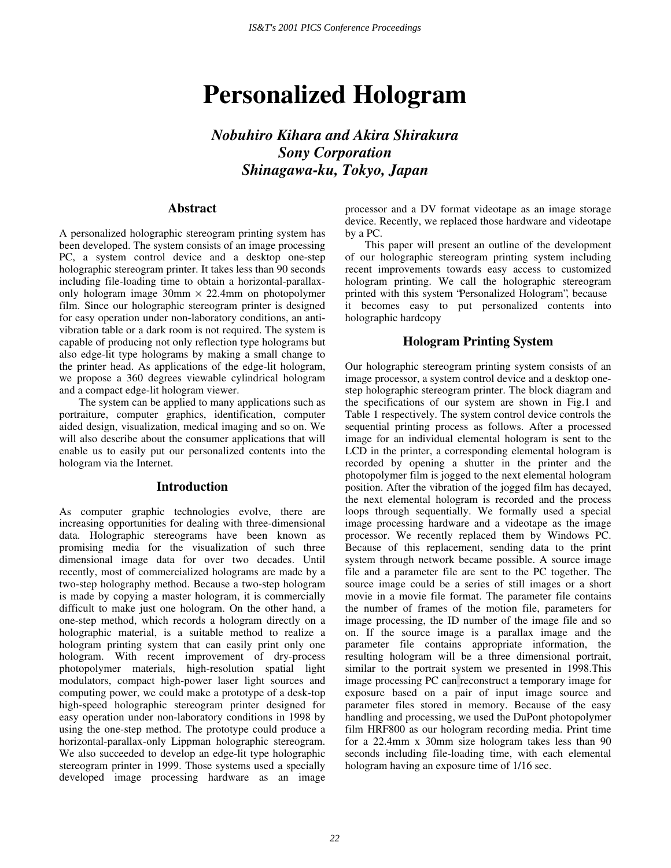# **Personalized Hologram**

*Nobuhiro Kihara and Akira Shirakura Sony Corporation Shinagawa-ku, Tokyo, Japan* 

## **Abstract**

A personalized holographic stereogram printing system has been developed. The system consists of an image processing PC, a system control device and a desktop one-step holographic stereogram printer. It takes less than 90 seconds including file-loading time to obtain a horizontal-parallaxonly hologram image  $30 \text{mm} \times 22.4 \text{mm}$  on photopolymer film. Since our holographic stereogram printer is designed for easy operation under non-laboratory conditions, an antivibration table or a dark room is not required. The system is capable of producing not only reflection type holograms but also edge-lit type holograms by making a small change to the printer head. As applications of the edge-lit hologram, we propose a 360 degrees viewable cylindrical hologram and a compact edge-lit hologram viewer.

The system can be applied to many applications such as portraiture, computer graphics, identification, computer aided design, visualization, medical imaging and so on. We will also describe about the consumer applications that will enable us to easily put our personalized contents into the hologram via the Internet.

#### **Introduction**

As computer graphic technologies evolve, there are increasing opportunities for dealing with three-dimensional data. Holographic stereograms have been known as promising media for the visualization of such three dimensional image data for over two decades. Until recently, most of commercialized holograms are made by a two-step holography method. Because a two-step hologram is made by copying a master hologram, it is commercially difficult to make just one hologram. On the other hand, a one-step method, which records a hologram directly on a holographic material, is a suitable method to realize a hologram printing system that can easily print only one hologram. With recent improvement of dry-process photopolymer materials, high-resolution spatial light modulators, compact high-power laser light sources and computing power, we could make a prototype of a desk-top high-speed holographic stereogram printer designed for easy operation under non-laboratory conditions in 1998 by using the one-step method. The prototype could produce a horizontal-parallax-only Lippman holographic stereogram. We also succeeded to develop an edge-lit type holographic stereogram printer in 1999. Those systems used a specially developed image processing hardware as an image

processor and a DV format videotape as an image storage device. Recently, we replaced those hardware and videotape by a PC.

This paper will present an outline of the development of our holographic stereogram printing system including recent improvements towards easy access to customized hologram printing. We call the holographic stereogram printed with this system "Personalized Hologram", because it becomes easy to put personalized contents into holographic hardcopy

## **Hologram Printing System**

Our holographic stereogram printing system consists of an image processor, a system control device and a desktop onestep holographic stereogram printer. The block diagram and the specifications of our system are shown in Fig.1 and Table 1 respectively. The system control device controls the sequential printing process as follows. After a processed image for an individual elemental hologram is sent to the LCD in the printer, a corresponding elemental hologram is recorded by opening a shutter in the printer and the photopolymer film is jogged to the next elemental hologram position. After the vibration of the jogged film has decayed, the next elemental hologram is recorded and the process loops through sequentially. We formally used a special image processing hardware and a videotape as the image processor. We recently replaced them by Windows PC. Because of this replacement, sending data to the print system through network became possible. A source image file and a parameter file are sent to the PC together. The source image could be a series of still images or a short movie in a movie file format. The parameter file contains the number of frames of the motion file, parameters for image processing, the ID number of the image file and so on. If the source image is a parallax image and the parameter file contains appropriate information, the resulting hologram will be a three dimensional portrait, similar to the portrait system we presented in 1998.This image processing PC can reconstruct a temporary image for exposure based on a pair of input image source and parameter files stored in memory. Because of the easy handling and processing, we used the DuPont photopolymer film HRF800 as our hologram recording media. Print time for a 22.4mm x 30mm size hologram takes less than 90 seconds including file-loading time, with each elemental hologram having an exposure time of 1/16 sec.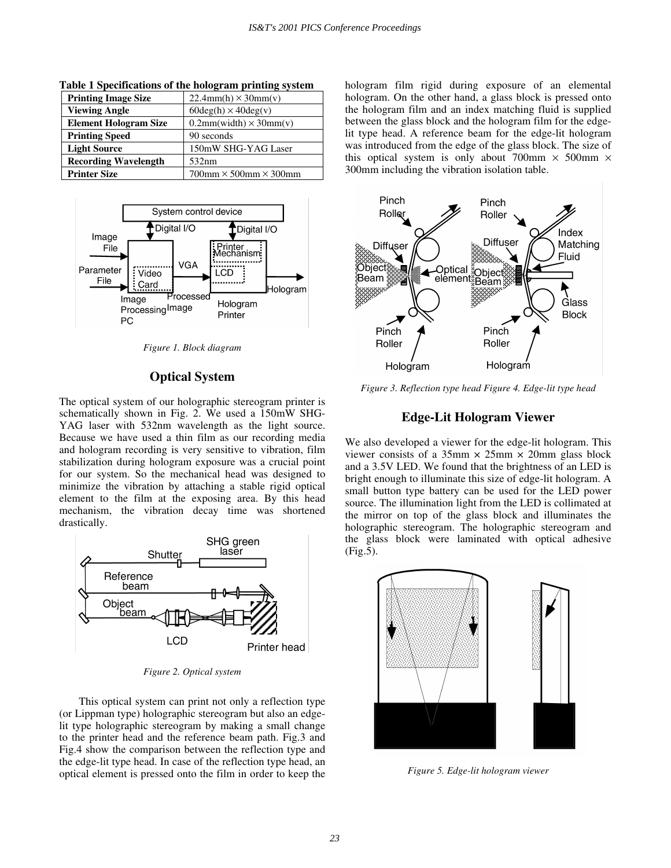| <b>Printing Image Size</b>   | $22.4mm(h) \times 30mm(v)$                 |
|------------------------------|--------------------------------------------|
| <b>Viewing Angle</b>         | $60 \text{deg}(h) \times 40 \text{deg}(v)$ |
| <b>Element Hologram Size</b> | $0.2mm(width) \times 30mm(v)$              |
| <b>Printing Speed</b>        | 90 seconds                                 |
| <b>Light Source</b>          | 150mW SHG-YAG Laser                        |
| <b>Recording Wavelength</b>  | 532nm                                      |
| <b>Printer Size</b>          | $700$ mm $\times$ 500mm $\times$ 300mm     |

**Table 1 Specifications of the hologram printing system** 



*Figure 1. Block diagram* 

# **Optical System**

The optical system of our holographic stereogram printer is schematically shown in Fig. 2. We used a 150mW SHG-YAG laser with 532nm wavelength as the light source. Because we have used a thin film as our recording media and hologram recording is very sensitive to vibration, film stabilization during hologram exposure was a crucial point for our system. So the mechanical head was designed to minimize the vibration by attaching a stable rigid optical element to the film at the exposing area. By this head mechanism, the vibration decay time was shortened drastically.



*Figure 2. Optical system* 

This optical system can print not only a reflection type (or Lippman type) holographic stereogram but also an edgelit type holographic stereogram by making a small change to the printer head and the reference beam path. Fig.3 and Fig.4 show the comparison between the reflection type and the edge-lit type head. In case of the reflection type head, an optical element is pressed onto the film in order to keep the hologram film rigid during exposure of an elemental hologram. On the other hand, a glass block is pressed onto the hologram film and an index matching fluid is supplied between the glass block and the hologram film for the edgelit type head. A reference beam for the edge-lit hologram was introduced from the edge of the glass block. The size of this optical system is only about 700mm  $\times$  500mm  $\times$ 300mm including the vibration isolation table.



*Figure 3. Reflection type head Figure 4. Edge-lit type head* 

## **Edge-Lit Hologram Viewer**

We also developed a viewer for the edge-lit hologram. This viewer consists of a  $35 \text{mm} \times 25 \text{mm} \times 20 \text{mm}$  glass block and a 3.5V LED. We found that the brightness of an LED is bright enough to illuminate this size of edge-lit hologram. A small button type battery can be used for the LED power source. The illumination light from the LED is collimated at the mirror on top of the glass block and illuminates the holographic stereogram. The holographic stereogram and the glass block were laminated with optical adhesive (Fig.5).



*Figure 5. Edge-lit hologram viewer*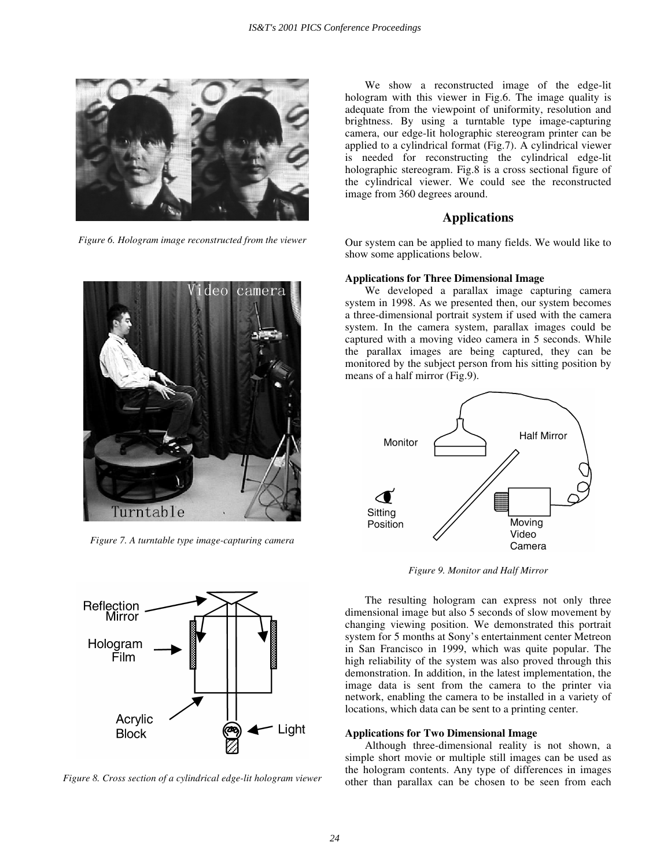

*Figure 6. Hologram image reconstructed from the viewer* 



*Figure 7. A turntable type image-capturing camera* 



*Figure 8. Cross section of a cylindrical edge-lit hologram viewer* 

We show a reconstructed image of the edge-lit hologram with this viewer in Fig.6. The image quality is adequate from the viewpoint of uniformity, resolution and brightness. By using a turntable type image-capturing camera, our edge-lit holographic stereogram printer can be applied to a cylindrical format (Fig.7). A cylindrical viewer is needed for reconstructing the cylindrical edge-lit holographic stereogram. Fig.8 is a cross sectional figure of the cylindrical viewer. We could see the reconstructed image from 360 degrees around.

## **Applications**

Our system can be applied to many fields. We would like to show some applications below.

#### **Applications for Three Dimensional Image**

We developed a parallax image capturing camera system in 1998. As we presented then, our system becomes a three-dimensional portrait system if used with the camera system. In the camera system, parallax images could be captured with a moving video camera in 5 seconds. While the parallax images are being captured, they can be monitored by the subject person from his sitting position by means of a half mirror (Fig.9).



*Figure 9. Monitor and Half Mirror* 

The resulting hologram can express not only three dimensional image but also 5 seconds of slow movement by changing viewing position. We demonstrated this portrait system for 5 months at Sony's entertainment center Metreon in San Francisco in 1999, which was quite popular. The high reliability of the system was also proved through this demonstration. In addition, in the latest implementation, the image data is sent from the camera to the printer via network, enabling the camera to be installed in a variety of locations, which data can be sent to a printing center.

#### **Applications for Two Dimensional Image**

Although three-dimensional reality is not shown, a simple short movie or multiple still images can be used as the hologram contents. Any type of differences in images other than parallax can be chosen to be seen from each